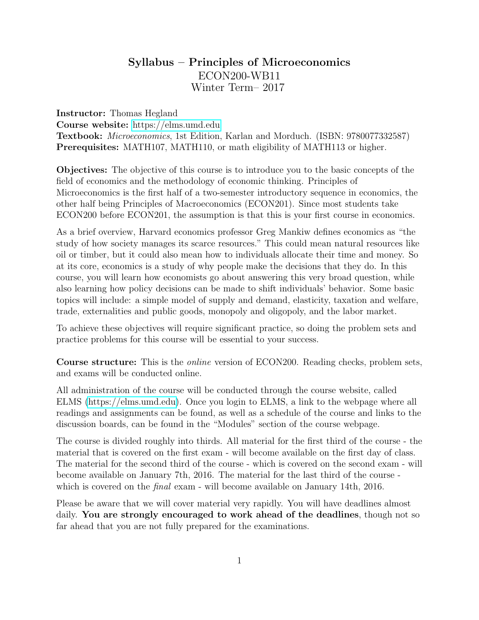# Syllabus – Principles of Microeconomics ECON200-WB11 Winter Term– 2017

Instructor: Thomas Hegland

Course website: <https://elms.umd.edu> Textbook: Microeconomics, 1st Edition, Karlan and Morduch. (ISBN: 9780077332587) Prerequisites: MATH107, MATH110, or math eligibility of MATH113 or higher.

Objectives: The objective of this course is to introduce you to the basic concepts of the field of economics and the methodology of economic thinking. Principles of Microeconomics is the first half of a two-semester introductory sequence in economics, the other half being Principles of Macroeconomics (ECON201). Since most students take ECON200 before ECON201, the assumption is that this is your first course in economics.

As a brief overview, Harvard economics professor Greg Mankiw defines economics as "the study of how society manages its scarce resources." This could mean natural resources like oil or timber, but it could also mean how to individuals allocate their time and money. So at its core, economics is a study of why people make the decisions that they do. In this course, you will learn how economists go about answering this very broad question, while also learning how policy decisions can be made to shift individuals' behavior. Some basic topics will include: a simple model of supply and demand, elasticity, taxation and welfare, trade, externalities and public goods, monopoly and oligopoly, and the labor market.

To achieve these objectives will require significant practice, so doing the problem sets and practice problems for this course will be essential to your success.

Course structure: This is the online version of ECON200. Reading checks, problem sets, and exams will be conducted online.

All administration of the course will be conducted through the course website, called ELMS [\(https://elms.umd.edu\)](https://elms.umd.edu). Once you login to ELMS, a link to the webpage where all readings and assignments can be found, as well as a schedule of the course and links to the discussion boards, can be found in the "Modules" section of the course webpage.

The course is divided roughly into thirds. All material for the first third of the course - the material that is covered on the first exam - will become available on the first day of class. The material for the second third of the course - which is covered on the second exam - will become available on January 7th, 2016. The material for the last third of the course which is covered on the *final* exam - will become available on January 14th, 2016.

Please be aware that we will cover material very rapidly. You will have deadlines almost daily. You are strongly encouraged to work ahead of the deadlines, though not so far ahead that you are not fully prepared for the examinations.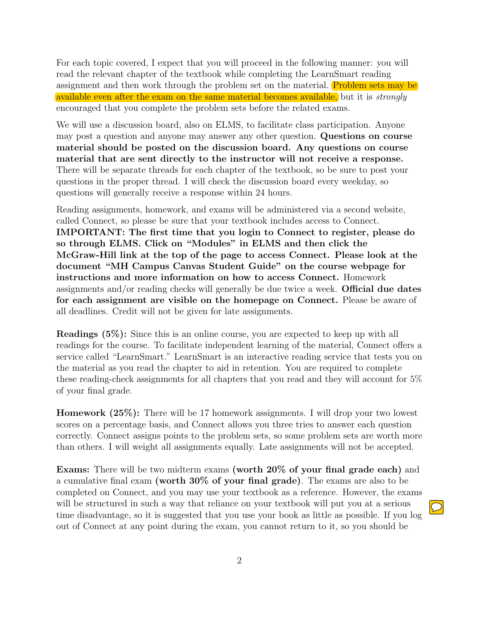For each topic covered, I expect that you will proceed in the following manner: you will read the relevant chapter of the textbook while completing the LearnSmart reading assignment and then work through the problem set on the material. Problem sets may be available even after the exam on the same material becomes available, but it is strongly encouraged that you complete the problem sets before the related exams.

We will use a discussion board, also on ELMS, to facilitate class participation. Anyone may post a question and anyone may answer any other question. Questions on course material should be posted on the discussion board. Any questions on course material that are sent directly to the instructor will not receive a response. There will be separate threads for each chapter of the textbook, so be sure to post your questions in the proper thread. I will check the discussion board every weekday, so questions will generally receive a response within 24 hours.

Reading assignments, homework, and exams will be administered via a second website, called Connect, so please be sure that your textbook includes access to Connect. IMPORTANT: The first time that you login to Connect to register, please do so through ELMS. Click on "Modules" in ELMS and then click the McGraw-Hill link at the top of the page to access Connect. Please look at the document "MH Campus Canvas Student Guide" on the course webpage for instructions and more information on how to access Connect. Homework assignments and/or reading checks will generally be due twice a week. Official due dates for each assignment are visible on the homepage on Connect. Please be aware of all deadlines. Credit will not be given for late assignments.

Readings (5%): Since this is an online course, you are expected to keep up with all readings for the course. To facilitate independent learning of the material, Connect offers a service called "LearnSmart." LearnSmart is an interactive reading service that tests you on the material as you read the chapter to aid in retention. You are required to complete these reading-check assignments for all chapters that you read and they will account for 5% of your final grade.

Homework (25%): There will be 17 homework assignments. I will drop your two lowest scores on a percentage basis, and Connect allows you three tries to answer each question correctly. Connect assigns points to the problem sets, so some problem sets are worth more than others. I will weight all assignments equally. Late assignments will not be accepted.

Exams: There will be two midterm exams (worth 20% of your final grade each) and a cumulative final exam (worth 30% of your final grade). The exams are also to be completed on Connect, and you may use your textbook as a reference. However, the exams will be structured in such a way that reliance on your textbook will put you at a serious time disadvantage, so it is suggested that you use your book as little as possible. If you log out of Connect at any point during the exam, you cannot return to it, so you should be

 $\boxed{\bigcirc}$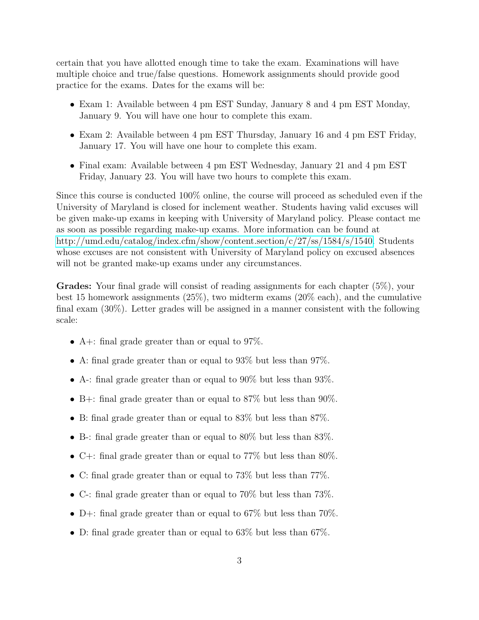certain that you have allotted enough time to take the exam. Examinations will have multiple choice and true/false questions. Homework assignments should provide good practice for the exams. Dates for the exams will be:

- Exam 1: Available between 4 pm EST Sunday, January 8 and 4 pm EST Monday, January 9. You will have one hour to complete this exam.
- Exam 2: Available between 4 pm EST Thursday, January 16 and 4 pm EST Friday, January 17. You will have one hour to complete this exam.
- Final exam: Available between 4 pm EST Wednesday, January 21 and 4 pm EST Friday, January 23. You will have two hours to complete this exam.

Since this course is conducted 100% online, the course will proceed as scheduled even if the University of Maryland is closed for inclement weather. Students having valid excuses will be given make-up exams in keeping with University of Maryland policy. Please contact me as soon as possible regarding make-up exams. More information can be found at [http://umd.edu/catalog/index.cfm/show/content.section/c/27/ss/1584/s/1540.](http://umd.edu/catalog/index.cfm/show/content.section/c/27/ss/1584/s/1540) Students whose excuses are not consistent with University of Maryland policy on excused absences will not be granted make-up exams under any circumstances.

Grades: Your final grade will consist of reading assignments for each chapter (5%), your best 15 homework assignments (25%), two midterm exams (20% each), and the cumulative final exam (30%). Letter grades will be assigned in a manner consistent with the following scale:

- A+: final grade greater than or equal to  $97\%$ .
- A: final grade greater than or equal to 93% but less than 97%.
- A-: final grade greater than or equal to  $90\%$  but less than  $93\%$ .
- B+: final grade greater than or equal to  $87\%$  but less than  $90\%$ .
- B: final grade greater than or equal to 83% but less than 87%.
- B-: final grade greater than or equal to 80% but less than 83%.
- C+: final grade greater than or equal to  $77\%$  but less than  $80\%$ .
- C: final grade greater than or equal to 73% but less than 77%.
- C-: final grade greater than or equal to 70% but less than 73%.
- D+: final grade greater than or equal to  $67\%$  but less than  $70\%$ .
- D: final grade greater than or equal to 63\% but less than 67\%.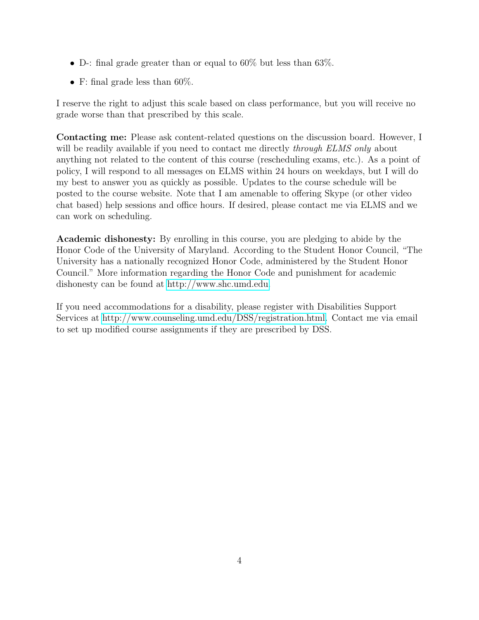- D-: final grade greater than or equal to  $60\%$  but less than  $63\%$ .
- F: final grade less than  $60\%$ .

I reserve the right to adjust this scale based on class performance, but you will receive no grade worse than that prescribed by this scale.

Contacting me: Please ask content-related questions on the discussion board. However, I will be readily available if you need to contact me directly *through ELMS only* about anything not related to the content of this course (rescheduling exams, etc.). As a point of policy, I will respond to all messages on ELMS within 24 hours on weekdays, but I will do my best to answer you as quickly as possible. Updates to the course schedule will be posted to the course website. Note that I am amenable to offering Skype (or other video chat based) help sessions and office hours. If desired, please contact me via ELMS and we can work on scheduling.

Academic dishonesty: By enrolling in this course, you are pledging to abide by the Honor Code of the University of Maryland. According to the Student Honor Council, "The University has a nationally recognized Honor Code, administered by the Student Honor Council." More information regarding the Honor Code and punishment for academic dishonesty can be found at [http://www.shc.umd.edu.](http://www.shc.umd.edu)

If you need accommodations for a disability, please register with Disabilities Support Services at [http://www.counseling.umd.edu/DSS/registration.html.](http://www.counseling.umd.edu/DSS/registration.html) Contact me via email to set up modified course assignments if they are prescribed by DSS.